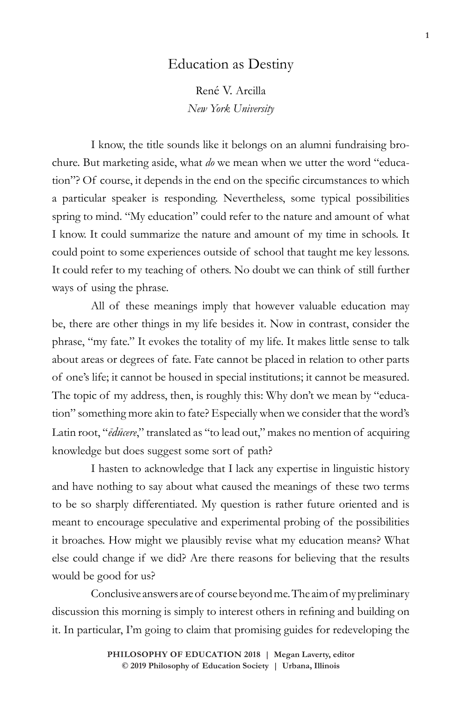# Education as Destiny

René V. Arcilla *New York University*

I know, the title sounds like it belongs on an alumni fundraising brochure. But marketing aside, what *do* we mean when we utter the word "education"? Of course, it depends in the end on the specific circumstances to which a particular speaker is responding. Nevertheless, some typical possibilities spring to mind. "My education" could refer to the nature and amount of what I know. It could summarize the nature and amount of my time in schools. It could point to some experiences outside of school that taught me key lessons. It could refer to my teaching of others. No doubt we can think of still further ways of using the phrase.

All of these meanings imply that however valuable education may be, there are other things in my life besides it. Now in contrast, consider the phrase, "my fate." It evokes the totality of my life. It makes little sense to talk about areas or degrees of fate. Fate cannot be placed in relation to other parts of one's life; it cannot be housed in special institutions; it cannot be measured. The topic of my address, then, is roughly this: Why don't we mean by "education" something more akin to fate? Especially when we consider that the word's Latin root, "*ēdūcere*," translated as "to lead out," makes no mention of acquiring knowledge but does suggest some sort of path?

I hasten to acknowledge that I lack any expertise in linguistic history and have nothing to say about what caused the meanings of these two terms to be so sharply differentiated. My question is rather future oriented and is meant to encourage speculative and experimental probing of the possibilities it broaches. How might we plausibly revise what my education means? What else could change if we did? Are there reasons for believing that the results would be good for us?

Conclusive answers are of course beyond me. The aim of my preliminary discussion this morning is simply to interest others in refining and building on it. In particular, I'm going to claim that promising guides for redeveloping the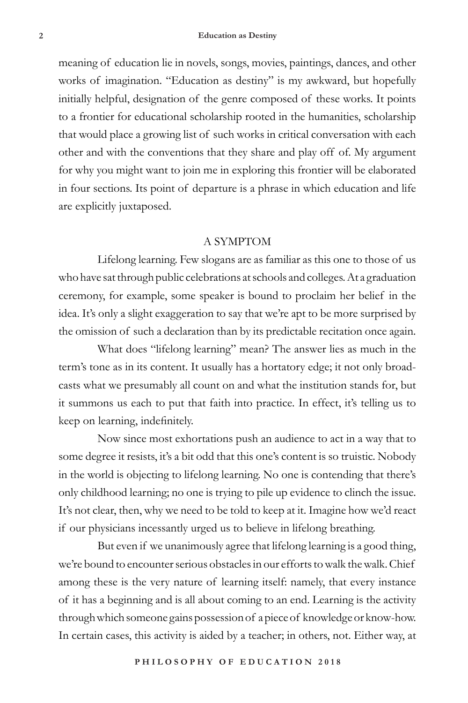meaning of education lie in novels, songs, movies, paintings, dances, and other works of imagination. "Education as destiny" is my awkward, but hopefully initially helpful, designation of the genre composed of these works. It points to a frontier for educational scholarship rooted in the humanities, scholarship that would place a growing list of such works in critical conversation with each other and with the conventions that they share and play off of. My argument for why you might want to join me in exploring this frontier will be elaborated in four sections. Its point of departure is a phrase in which education and life are explicitly juxtaposed.

#### A SYMPTOM

Lifelong learning. Few slogans are as familiar as this one to those of us who have sat through public celebrations at schools and colleges. At a graduation ceremony, for example, some speaker is bound to proclaim her belief in the idea. It's only a slight exaggeration to say that we're apt to be more surprised by the omission of such a declaration than by its predictable recitation once again.

What does "lifelong learning" mean? The answer lies as much in the term's tone as in its content. It usually has a hortatory edge; it not only broadcasts what we presumably all count on and what the institution stands for, but it summons us each to put that faith into practice. In effect, it's telling us to keep on learning, indefinitely.

Now since most exhortations push an audience to act in a way that to some degree it resists, it's a bit odd that this one's content is so truistic. Nobody in the world is objecting to lifelong learning. No one is contending that there's only childhood learning; no one is trying to pile up evidence to clinch the issue. It's not clear, then, why we need to be told to keep at it. Imagine how we'd react if our physicians incessantly urged us to believe in lifelong breathing.

But even if we unanimously agree that lifelong learning is a good thing, we're bound to encounter serious obstacles in our efforts to walk the walk. Chief among these is the very nature of learning itself: namely, that every instance of it has a beginning and is all about coming to an end. Learning is the activity through which someone gains possession of a piece of knowledge or know-how. In certain cases, this activity is aided by a teacher; in others, not. Either way, at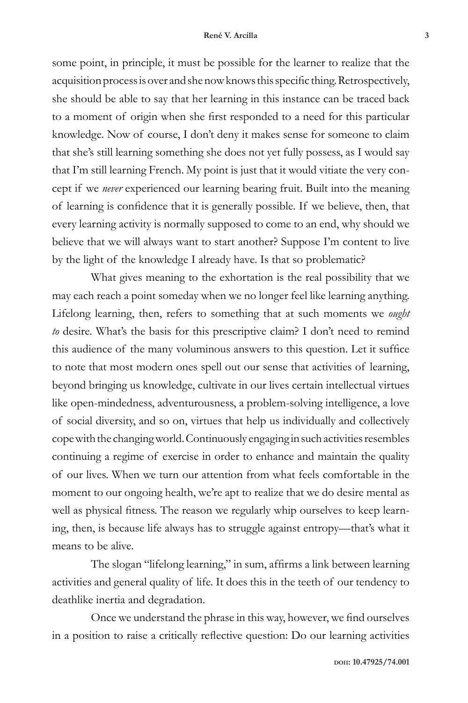some point, in principle, it must be possible for the learner to realize that the acquisition process is over and she now knows this specific thing. Retrospectively, she should be able to say that her learning in this instance can be traced back to a moment of origin when she first responded to a need for this particular knowledge. Now of course, I don't deny it makes sense for someone to claim that she's still learning something she does not yet fully possess, as I would say that I'm still learning French. My point is just that it would vitiate the very concept if we *never* experienced our learning bearing fruit. Built into the meaning of learning is confidence that it is generally possible. If we believe, then, that every learning activity is normally supposed to come to an end, why should we believe that we will always want to start another? Suppose I'm content to live by the light of the knowledge I already have. Is that so problematic?

What gives meaning to the exhortation is the real possibility that we may each reach a point someday when we no longer feel like learning anything. Lifelong learning, then, refers to something that at such moments we *ought to* desire. What's the basis for this prescriptive claim? I don't need to remind this audience of the many voluminous answers to this question. Let it suffice to note that most modern ones spell out our sense that activities of learning, beyond bringing us knowledge, cultivate in our lives certain intellectual virtues like open-mindedness, adventurousness, a problem-solving intelligence, a love of social diversity, and so on, virtues that help us individually and collectively cope with the changing world. Continuously engaging in such activities resembles continuing a regime of exercise in order to enhance and maintain the quality of our lives. When we turn our attention from what feels comfortable in the moment to our ongoing health, we're apt to realize that we do desire mental as well as physical fitness. The reason we regularly whip ourselves to keep learning, then, is because life always has to struggle against entropy—that's what it means to be alive.

The slogan "lifelong learning," in sum, affirms a link between learning activities and general quality of life. It does this in the teeth of our tendency to deathlike inertia and degradation.

Once we understand the phrase in this way, however, we find ourselves in a position to raise a critically reflective question: Do our learning activities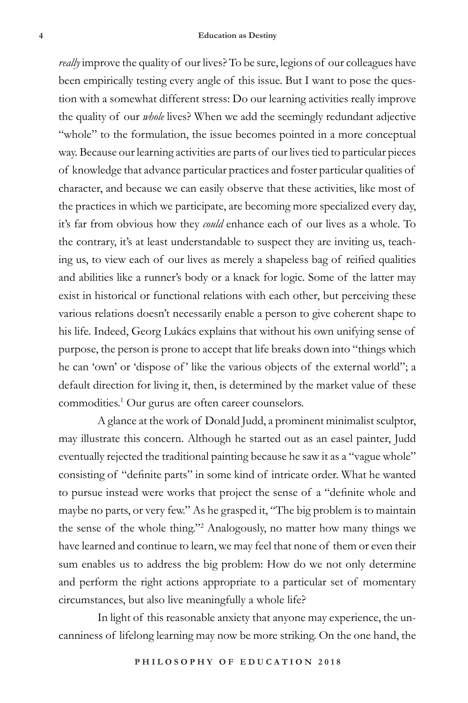*really* improve the quality of our lives? To be sure, legions of our colleagues have been empirically testing every angle of this issue. But I want to pose the question with a somewhat different stress: Do our learning activities really improve the quality of our *whole* lives? When we add the seemingly redundant adjective "whole" to the formulation, the issue becomes pointed in a more conceptual way. Because our learning activities are parts of our lives tied to particular pieces of knowledge that advance particular practices and foster particular qualities of character, and because we can easily observe that these activities, like most of the practices in which we participate, are becoming more specialized every day, it's far from obvious how they *could* enhance each of our lives as a whole. To the contrary, it's at least understandable to suspect they are inviting us, teaching us, to view each of our lives as merely a shapeless bag of reified qualities and abilities like a runner's body or a knack for logic. Some of the latter may exist in historical or functional relations with each other, but perceiving these various relations doesn't necessarily enable a person to give coherent shape to his life. Indeed, Georg Lukács explains that without his own unifying sense of purpose, the person is prone to accept that life breaks down into "things which he can 'own' or 'dispose of' like the various objects of the external world"; a default direction for living it, then, is determined by the market value of these commodities.1 Our gurus are often career counselors.

A glance at the work of Donald Judd, a prominent minimalist sculptor, may illustrate this concern. Although he started out as an easel painter, Judd eventually rejected the traditional painting because he saw it as a "vague whole" consisting of "definite parts" in some kind of intricate order. What he wanted to pursue instead were works that project the sense of a "definite whole and maybe no parts, or very few." As he grasped it, "The big problem is to maintain the sense of the whole thing."2 Analogously, no matter how many things we have learned and continue to learn, we may feel that none of them or even their sum enables us to address the big problem: How do we not only determine and perform the right actions appropriate to a particular set of momentary circumstances, but also live meaningfully a whole life?

In light of this reasonable anxiety that anyone may experience, the uncanniness of lifelong learning may now be more striking. On the one hand, the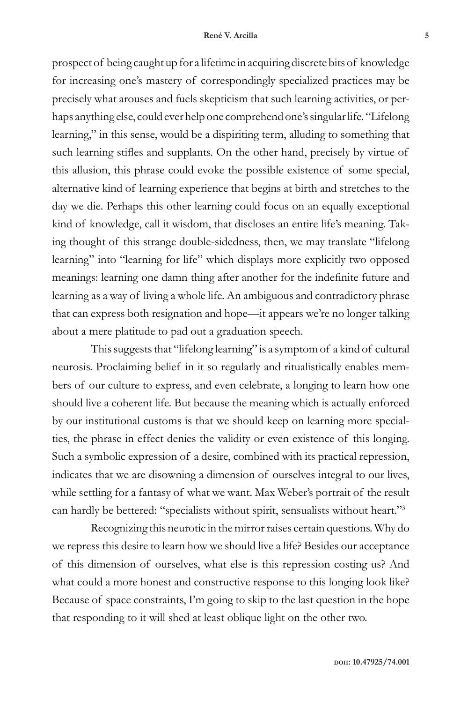prospect of being caught up for a lifetime in acquiring discrete bits of knowledge for increasing one's mastery of correspondingly specialized practices may be precisely what arouses and fuels skepticism that such learning activities, or perhaps anything else, could ever help one comprehend one's singular life. "Lifelong learning," in this sense, would be a dispiriting term, alluding to something that such learning stifles and supplants. On the other hand, precisely by virtue of this allusion, this phrase could evoke the possible existence of some special, alternative kind of learning experience that begins at birth and stretches to the day we die. Perhaps this other learning could focus on an equally exceptional kind of knowledge, call it wisdom, that discloses an entire life's meaning. Taking thought of this strange double-sidedness, then, we may translate "lifelong learning" into "learning for life" which displays more explicitly two opposed meanings: learning one damn thing after another for the indefinite future and learning as a way of living a whole life. An ambiguous and contradictory phrase that can express both resignation and hope—it appears we're no longer talking about a mere platitude to pad out a graduation speech.

This suggests that "lifelong learning" is a symptom of a kind of cultural neurosis. Proclaiming belief in it so regularly and ritualistically enables members of our culture to express, and even celebrate, a longing to learn how one should live a coherent life. But because the meaning which is actually enforced by our institutional customs is that we should keep on learning more specialties, the phrase in effect denies the validity or even existence of this longing. Such a symbolic expression of a desire, combined with its practical repression, indicates that we are disowning a dimension of ourselves integral to our lives, while settling for a fantasy of what we want. Max Weber's portrait of the result can hardly be bettered: "specialists without spirit, sensualists without heart."3

Recognizing this neurotic in the mirror raises certain questions. Why do we repress this desire to learn how we should live a life? Besides our acceptance of this dimension of ourselves, what else is this repression costing us? And what could a more honest and constructive response to this longing look like? Because of space constraints, I'm going to skip to the last question in the hope that responding to it will shed at least oblique light on the other two.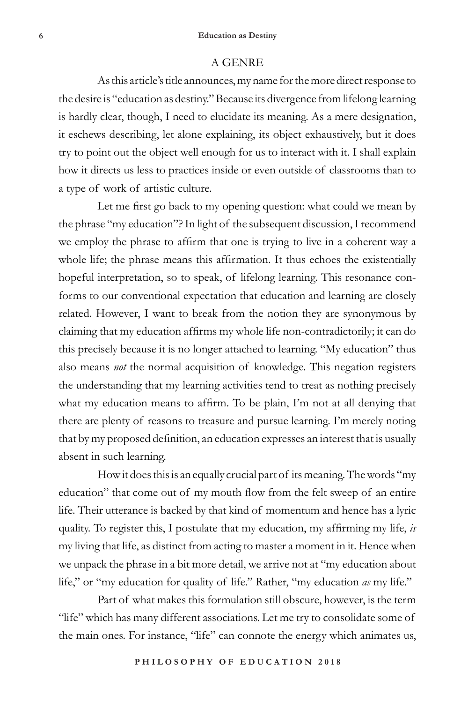#### A GENRE

As this article's title announces, my name for the more direct response to the desire is "education as destiny." Because its divergence from lifelong learning is hardly clear, though, I need to elucidate its meaning. As a mere designation, it eschews describing, let alone explaining, its object exhaustively, but it does try to point out the object well enough for us to interact with it. I shall explain how it directs us less to practices inside or even outside of classrooms than to a type of work of artistic culture.

Let me first go back to my opening question: what could we mean by the phrase "my education"? In light of the subsequent discussion, I recommend we employ the phrase to affirm that one is trying to live in a coherent way a whole life; the phrase means this affirmation. It thus echoes the existentially hopeful interpretation, so to speak, of lifelong learning. This resonance conforms to our conventional expectation that education and learning are closely related. However, I want to break from the notion they are synonymous by claiming that my education affirms my whole life non-contradictorily; it can do this precisely because it is no longer attached to learning. "My education" thus also means *not* the normal acquisition of knowledge. This negation registers the understanding that my learning activities tend to treat as nothing precisely what my education means to affirm. To be plain, I'm not at all denying that there are plenty of reasons to treasure and pursue learning. I'm merely noting that by my proposed definition, an education expresses an interest that is usually absent in such learning.

How it does this is an equally crucial part of its meaning. The words "my education" that come out of my mouth flow from the felt sweep of an entire life. Their utterance is backed by that kind of momentum and hence has a lyric quality. To register this, I postulate that my education, my affirming my life, *is* my living that life, as distinct from acting to master a moment in it. Hence when we unpack the phrase in a bit more detail, we arrive not at "my education about life," or "my education for quality of life." Rather, "my education *as* my life."

Part of what makes this formulation still obscure, however, is the term "life" which has many different associations. Let me try to consolidate some of the main ones. For instance, "life" can connote the energy which animates us,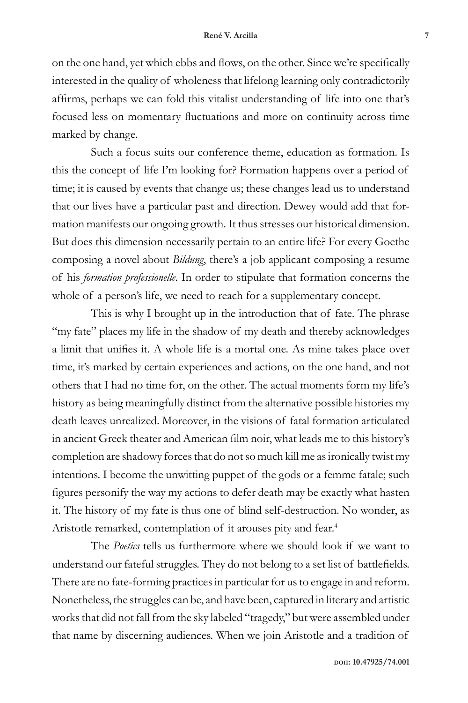on the one hand, yet which ebbs and flows, on the other. Since we're specifically interested in the quality of wholeness that lifelong learning only contradictorily affirms, perhaps we can fold this vitalist understanding of life into one that's focused less on momentary fluctuations and more on continuity across time marked by change.

Such a focus suits our conference theme, education as formation. Is this the concept of life I'm looking for? Formation happens over a period of time; it is caused by events that change us; these changes lead us to understand that our lives have a particular past and direction. Dewey would add that formation manifests our ongoing growth. It thus stresses our historical dimension. But does this dimension necessarily pertain to an entire life? For every Goethe composing a novel about *Bildung*, there's a job applicant composing a resume of his *formation professionelle*. In order to stipulate that formation concerns the whole of a person's life, we need to reach for a supplementary concept.

This is why I brought up in the introduction that of fate. The phrase "my fate" places my life in the shadow of my death and thereby acknowledges a limit that unifies it. A whole life is a mortal one. As mine takes place over time, it's marked by certain experiences and actions, on the one hand, and not others that I had no time for, on the other. The actual moments form my life's history as being meaningfully distinct from the alternative possible histories my death leaves unrealized. Moreover, in the visions of fatal formation articulated in ancient Greek theater and American film noir, what leads me to this history's completion are shadowy forces that do not so much kill me as ironically twist my intentions. I become the unwitting puppet of the gods or a femme fatale; such figures personify the way my actions to defer death may be exactly what hasten it. The history of my fate is thus one of blind self-destruction. No wonder, as Aristotle remarked, contemplation of it arouses pity and fear.<sup>4</sup>

The *Poetics* tells us furthermore where we should look if we want to understand our fateful struggles. They do not belong to a set list of battlefields. There are no fate-forming practices in particular for us to engage in and reform. Nonetheless, the struggles can be, and have been, captured in literary and artistic works that did not fall from the sky labeled "tragedy," but were assembled under that name by discerning audiences. When we join Aristotle and a tradition of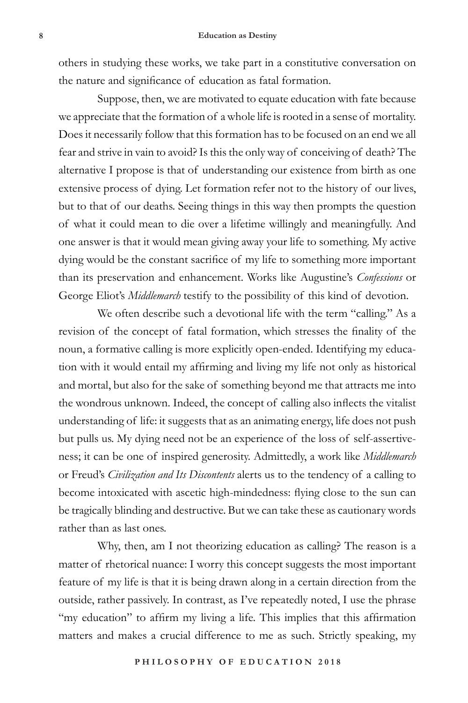others in studying these works, we take part in a constitutive conversation on the nature and significance of education as fatal formation.

Suppose, then, we are motivated to equate education with fate because we appreciate that the formation of a whole life is rooted in a sense of mortality. Does it necessarily follow that this formation has to be focused on an end we all fear and strive in vain to avoid? Is this the only way of conceiving of death? The alternative I propose is that of understanding our existence from birth as one extensive process of dying. Let formation refer not to the history of our lives, but to that of our deaths. Seeing things in this way then prompts the question of what it could mean to die over a lifetime willingly and meaningfully. And one answer is that it would mean giving away your life to something. My active dying would be the constant sacrifice of my life to something more important than its preservation and enhancement. Works like Augustine's *Confessions* or George Eliot's *Middlemarch* testify to the possibility of this kind of devotion.

We often describe such a devotional life with the term "calling." As a revision of the concept of fatal formation, which stresses the finality of the noun, a formative calling is more explicitly open-ended. Identifying my education with it would entail my affirming and living my life not only as historical and mortal, but also for the sake of something beyond me that attracts me into the wondrous unknown. Indeed, the concept of calling also inflects the vitalist understanding of life: it suggests that as an animating energy, life does not push but pulls us. My dying need not be an experience of the loss of self-assertiveness; it can be one of inspired generosity. Admittedly, a work like *Middlemarch* or Freud's *Civilization and Its Discontents* alerts us to the tendency of a calling to become intoxicated with ascetic high-mindedness: flying close to the sun can be tragically blinding and destructive. But we can take these as cautionary words rather than as last ones.

Why, then, am I not theorizing education as calling? The reason is a matter of rhetorical nuance: I worry this concept suggests the most important feature of my life is that it is being drawn along in a certain direction from the outside, rather passively. In contrast, as I've repeatedly noted, I use the phrase "my education" to affirm my living a life. This implies that this affirmation matters and makes a crucial difference to me as such. Strictly speaking, my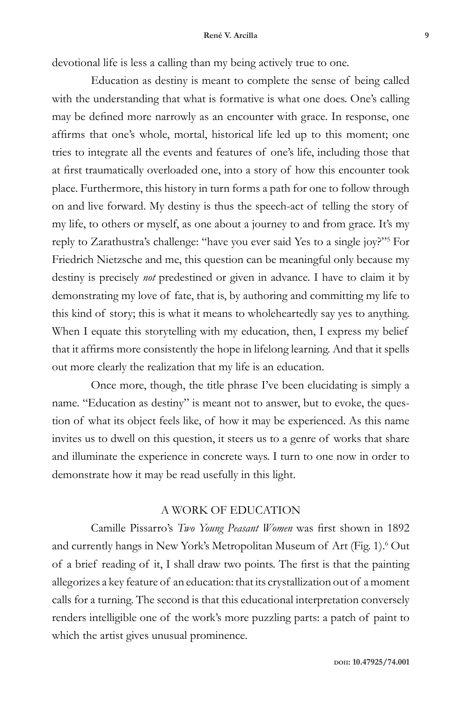devotional life is less a calling than my being actively true to one.

Education as destiny is meant to complete the sense of being called with the understanding that what is formative is what one does. One's calling may be defined more narrowly as an encounter with grace. In response, one affirms that one's whole, mortal, historical life led up to this moment; one tries to integrate all the events and features of one's life, including those that at first traumatically overloaded one, into a story of how this encounter took place. Furthermore, this history in turn forms a path for one to follow through on and live forward. My destiny is thus the speech-act of telling the story of my life, to others or myself, as one about a journey to and from grace. It's my reply to Zarathustra's challenge: "have you ever said Yes to a single joy?"5 For Friedrich Nietzsche and me, this question can be meaningful only because my destiny is precisely *not* predestined or given in advance. I have to claim it by demonstrating my love of fate, that is, by authoring and committing my life to this kind of story; this is what it means to wholeheartedly say yes to anything. When I equate this storytelling with my education, then, I express my belief that it affirms more consistently the hope in lifelong learning. And that it spells out more clearly the realization that my life is an education.

Once more, though, the title phrase I've been elucidating is simply a name. "Education as destiny" is meant not to answer, but to evoke, the question of what its object feels like, of how it may be experienced. As this name invites us to dwell on this question, it steers us to a genre of works that share and illuminate the experience in concrete ways. I turn to one now in order to demonstrate how it may be read usefully in this light.

### A WORK OF EDUCATION

Camille Pissarro's *Two Young Peasant Women* was first shown in 1892 and currently hangs in New York's Metropolitan Museum of Art (Fig. 1).<sup>6</sup> Out of a brief reading of it, I shall draw two points. The first is that the painting allegorizes a key feature of an education: that its crystallization out of a moment calls for a turning. The second is that this educational interpretation conversely renders intelligible one of the work's more puzzling parts: a patch of paint to which the artist gives unusual prominence.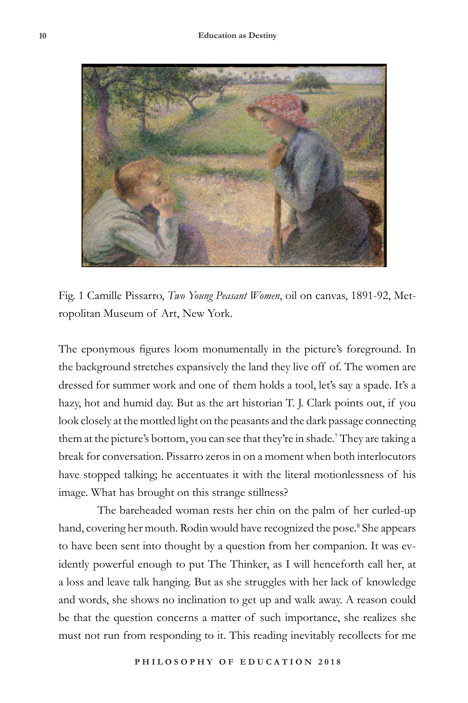

Fig. 1 Camille Pissarro, *Two Young Peasant Women*, oil on canvas, 1891-92, Metropolitan Museum of Art, New York.

The eponymous figures loom monumentally in the picture's foreground. In the background stretches expansively the land they live off of. The women are dressed for summer work and one of them holds a tool, let's say a spade. It's a hazy, hot and humid day. But as the art historian T. J. Clark points out, if you look closely at the mottled light on the peasants and the dark passage connecting them at the picture's bottom, you can see that they're in shade.<sup>7</sup> They are taking a break for conversation. Pissarro zeros in on a moment when both interlocutors have stopped talking; he accentuates it with the literal motionlessness of his image. What has brought on this strange stillness?

The bareheaded woman rests her chin on the palm of her curled-up hand, covering her mouth. Rodin would have recognized the pose.<sup>8</sup> She appears to have been sent into thought by a question from her companion. It was evidently powerful enough to put The Thinker, as I will henceforth call her, at a loss and leave talk hanging. But as she struggles with her lack of knowledge and words, she shows no inclination to get up and walk away. A reason could be that the question concerns a matter of such importance, she realizes she must not run from responding to it. This reading inevitably recollects for me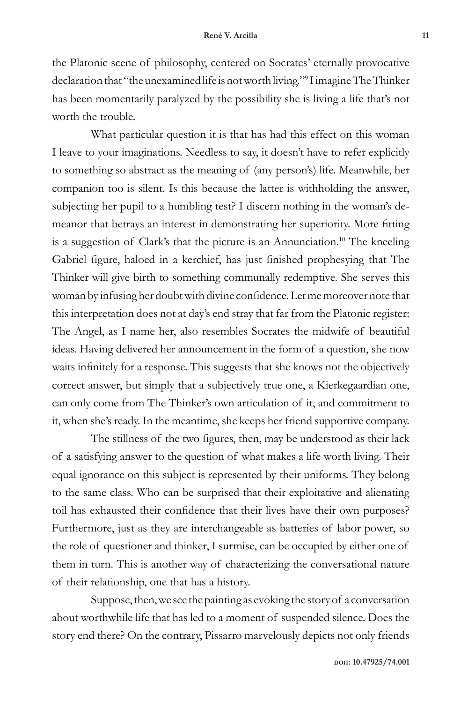the Platonic scene of philosophy, centered on Socrates' eternally provocative declaration that "the unexamined life is not worth living."<sup>9</sup> I imagine The Thinker has been momentarily paralyzed by the possibility she is living a life that's not worth the trouble.

What particular question it is that has had this effect on this woman I leave to your imaginations. Needless to say, it doesn't have to refer explicitly to something so abstract as the meaning of (any person's) life. Meanwhile, her companion too is silent. Is this because the latter is withholding the answer, subjecting her pupil to a humbling test? I discern nothing in the woman's demeanor that betrays an interest in demonstrating her superiority. More fitting is a suggestion of Clark's that the picture is an Annunciation.<sup>10</sup> The kneeling Gabriel figure, haloed in a kerchief, has just finished prophesying that The Thinker will give birth to something communally redemptive. She serves this woman by infusing her doubt with divine confidence. Let me moreover note that this interpretation does not at day's end stray that far from the Platonic register: The Angel, as I name her, also resembles Socrates the midwife of beautiful ideas. Having delivered her announcement in the form of a question, she now waits infinitely for a response. This suggests that she knows not the objectively correct answer, but simply that a subjectively true one, a Kierkegaardian one, can only come from The Thinker's own articulation of it, and commitment to it, when she's ready. In the meantime, she keeps her friend supportive company.

The stillness of the two figures, then, may be understood as their lack of a satisfying answer to the question of what makes a life worth living. Their equal ignorance on this subject is represented by their uniforms. They belong to the same class. Who can be surprised that their exploitative and alienating toil has exhausted their confidence that their lives have their own purposes? Furthermore, just as they are interchangeable as batteries of labor power, so the role of questioner and thinker, I surmise, can be occupied by either one of them in turn. This is another way of characterizing the conversational nature of their relationship, one that has a history.

Suppose, then, we see the painting as evoking the story of a conversation about worthwhile life that has led to a moment of suspended silence. Does the story end there? On the contrary, Pissarro marvelously depicts not only friends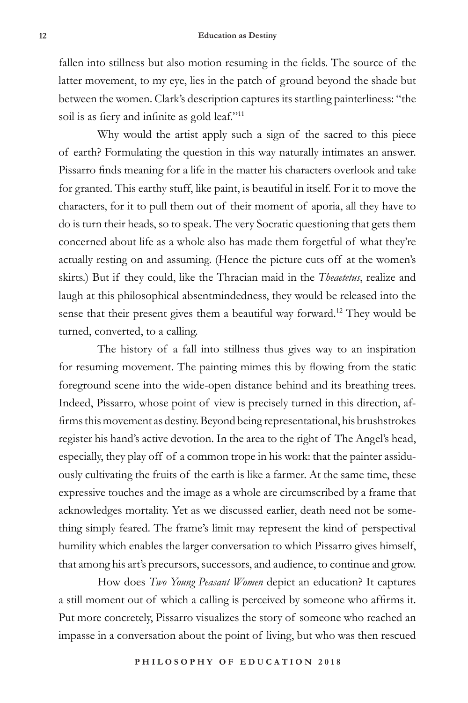fallen into stillness but also motion resuming in the fields. The source of the latter movement, to my eye, lies in the patch of ground beyond the shade but between the women. Clark's description captures its startling painterliness: "the soil is as fiery and infinite as gold leaf."<sup>11</sup>

Why would the artist apply such a sign of the sacred to this piece of earth? Formulating the question in this way naturally intimates an answer. Pissarro finds meaning for a life in the matter his characters overlook and take for granted. This earthy stuff, like paint, is beautiful in itself. For it to move the characters, for it to pull them out of their moment of aporia, all they have to do is turn their heads, so to speak. The very Socratic questioning that gets them concerned about life as a whole also has made them forgetful of what they're actually resting on and assuming. (Hence the picture cuts off at the women's skirts.) But if they could, like the Thracian maid in the *Theaetetus*, realize and laugh at this philosophical absentmindedness, they would be released into the sense that their present gives them a beautiful way forward.12 They would be turned, converted, to a calling.

The history of a fall into stillness thus gives way to an inspiration for resuming movement. The painting mimes this by flowing from the static foreground scene into the wide-open distance behind and its breathing trees. Indeed, Pissarro, whose point of view is precisely turned in this direction, affirms this movement as destiny. Beyond being representational, his brushstrokes register his hand's active devotion. In the area to the right of The Angel's head, especially, they play off of a common trope in his work: that the painter assiduously cultivating the fruits of the earth is like a farmer. At the same time, these expressive touches and the image as a whole are circumscribed by a frame that acknowledges mortality. Yet as we discussed earlier, death need not be something simply feared. The frame's limit may represent the kind of perspectival humility which enables the larger conversation to which Pissarro gives himself, that among his art's precursors, successors, and audience, to continue and grow.

How does *Two Young Peasant Women* depict an education? It captures a still moment out of which a calling is perceived by someone who affirms it. Put more concretely, Pissarro visualizes the story of someone who reached an impasse in a conversation about the point of living, but who was then rescued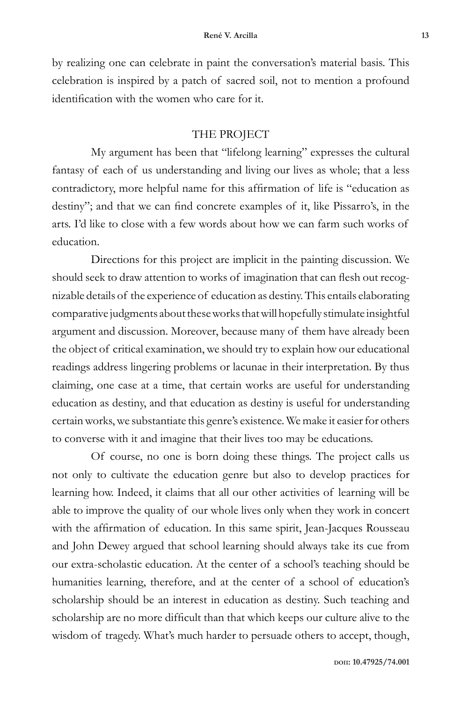by realizing one can celebrate in paint the conversation's material basis. This celebration is inspired by a patch of sacred soil, not to mention a profound identification with the women who care for it.

## THE PROJECT

My argument has been that "lifelong learning" expresses the cultural fantasy of each of us understanding and living our lives as whole; that a less contradictory, more helpful name for this affirmation of life is "education as destiny"; and that we can find concrete examples of it, like Pissarro's, in the arts. I'd like to close with a few words about how we can farm such works of education.

Directions for this project are implicit in the painting discussion. We should seek to draw attention to works of imagination that can flesh out recognizable details of the experience of education as destiny. This entails elaborating comparative judgments about these works that will hopefully stimulate insightful argument and discussion. Moreover, because many of them have already been the object of critical examination, we should try to explain how our educational readings address lingering problems or lacunae in their interpretation. By thus claiming, one case at a time, that certain works are useful for understanding education as destiny, and that education as destiny is useful for understanding certain works, we substantiate this genre's existence. We make it easier for others to converse with it and imagine that their lives too may be educations.

Of course, no one is born doing these things. The project calls us not only to cultivate the education genre but also to develop practices for learning how. Indeed, it claims that all our other activities of learning will be able to improve the quality of our whole lives only when they work in concert with the affirmation of education. In this same spirit, Jean-Jacques Rousseau and John Dewey argued that school learning should always take its cue from our extra-scholastic education. At the center of a school's teaching should be humanities learning, therefore, and at the center of a school of education's scholarship should be an interest in education as destiny. Such teaching and scholarship are no more difficult than that which keeps our culture alive to the wisdom of tragedy. What's much harder to persuade others to accept, though,